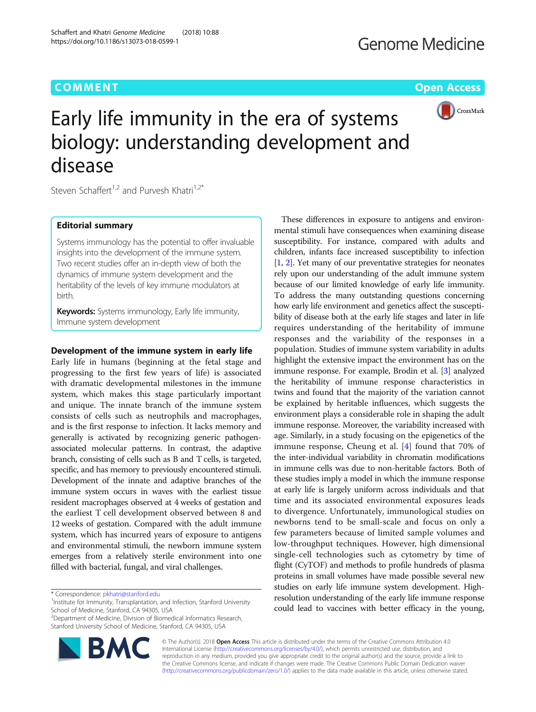

# Early life immunity in the era of systems biology: understanding development and disease

Steven Schaffert<sup>1,2</sup> and Purvesh Khatri<sup>1,2\*</sup>

Schaffert and Khatri Genome Medicine (2018) 10:88

https://doi.org/10.1186/s13073-018-0599-1

# Editorial summary

Systems immunology has the potential to offer invaluable insights into the development of the immune system. Two recent studies offer an in-depth view of both the dynamics of immune system development and the heritability of the levels of key immune modulators at birth.

Keywords: Systems immunology, Early life immunity, Immune system development

# Development of the immune system in early life

Early life in humans (beginning at the fetal stage and progressing to the first few years of life) is associated with dramatic developmental milestones in the immune system, which makes this stage particularly important and unique. The innate branch of the immune system consists of cells such as neutrophils and macrophages, and is the first response to infection. It lacks memory and generally is activated by recognizing generic pathogenassociated molecular patterns. In contrast, the adaptive branch, consisting of cells such as B and T cells, is targeted, specific, and has memory to previously encountered stimuli. Development of the innate and adaptive branches of the immune system occurs in waves with the earliest tissue resident macrophages observed at 4 weeks of gestation and the earliest T cell development observed between 8 and 12 weeks of gestation. Compared with the adult immune system, which has incurred years of exposure to antigens and environmental stimuli, the newborn immune system emerges from a relatively sterile environment into one filled with bacterial, fungal, and viral challenges.

<sup>2</sup> Department of Medicine, Division of Biomedical Informatics Research, Stanford University School of Medicine, Stanford, CA 94305, USA



These differences in exposure to antigens and environmental stimuli have consequences when examining disease susceptibility. For instance, compared with adults and children, infants face increased susceptibility to infection [[1,](#page-2-0) [2](#page-2-0)]. Yet many of our preventative strategies for neonates rely upon our understanding of the adult immune system because of our limited knowledge of early life immunity. To address the many outstanding questions concerning how early life environment and genetics affect the susceptibility of disease both at the early life stages and later in life requires understanding of the heritability of immune responses and the variability of the responses in a population. Studies of immune system variability in adults highlight the extensive impact the environment has on the immune response. For example, Brodin et al. [\[3\]](#page-2-0) analyzed the heritability of immune response characteristics in twins and found that the majority of the variation cannot be explained by heritable influences, which suggests the environment plays a considerable role in shaping the adult immune response. Moreover, the variability increased with age. Similarly, in a study focusing on the epigenetics of the immune response, Cheung et al. [[4\]](#page-2-0) found that 70% of the inter-individual variability in chromatin modifications in immune cells was due to non-heritable factors. Both of these studies imply a model in which the immune response at early life is largely uniform across individuals and that time and its associated environmental exposures leads to divergence. Unfortunately, immunological studies on newborns tend to be small-scale and focus on only a few parameters because of limited sample volumes and low-throughput techniques. However, high dimensional single-cell technologies such as cytometry by time of flight (CyTOF) and methods to profile hundreds of plasma proteins in small volumes have made possible several new studies on early life immune system development. Highresolution understanding of the early life immune response could lead to vaccines with better efficacy in the young,

© The Author(s). 2018 Open Access This article is distributed under the terms of the Creative Commons Attribution 4.0 International License [\(http://creativecommons.org/licenses/by/4.0/](http://creativecommons.org/licenses/by/4.0/)), which permits unrestricted use, distribution, and reproduction in any medium, provided you give appropriate credit to the original author(s) and the source, provide a link to the Creative Commons license, and indicate if changes were made. The Creative Commons Public Domain Dedication waiver [\(http://creativecommons.org/publicdomain/zero/1.0/](http://creativecommons.org/publicdomain/zero/1.0/)) applies to the data made available in this article, unless otherwise stated.

<sup>\*</sup> Correspondence: [pkhatri@stanford.edu](mailto:pkhatri@stanford.edu) <sup>1</sup>

<sup>&</sup>lt;sup>1</sup>Institute for Immunity, Transplantation, and Infection, Stanford University School of Medicine, Stanford, CA 94305, USA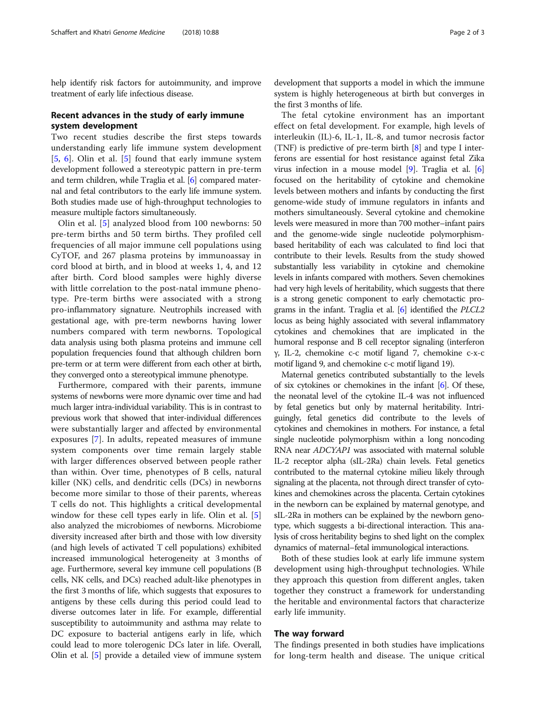help identify risk factors for autoimmunity, and improve treatment of early life infectious disease.

# Recent advances in the study of early immune system development

Two recent studies describe the first steps towards understanding early life immune system development [[5,](#page-2-0) [6](#page-2-0)]. Olin et al. [[5\]](#page-2-0) found that early immune system development followed a stereotypic pattern in pre-term and term children, while Traglia et al. [\[6\]](#page-2-0) compared maternal and fetal contributors to the early life immune system. Both studies made use of high-throughput technologies to measure multiple factors simultaneously.

Olin et al. [[5\]](#page-2-0) analyzed blood from 100 newborns: 50 pre-term births and 50 term births. They profiled cell frequencies of all major immune cell populations using CyTOF, and 267 plasma proteins by immunoassay in cord blood at birth, and in blood at weeks 1, 4, and 12 after birth. Cord blood samples were highly diverse with little correlation to the post-natal immune phenotype. Pre-term births were associated with a strong pro-inflammatory signature. Neutrophils increased with gestational age, with pre-term newborns having lower numbers compared with term newborns. Topological data analysis using both plasma proteins and immune cell population frequencies found that although children born pre-term or at term were different from each other at birth, they converged onto a stereotypical immune phenotype.

Furthermore, compared with their parents, immune systems of newborns were more dynamic over time and had much larger intra-individual variability. This is in contrast to previous work that showed that inter-individual differences were substantially larger and affected by environmental exposures [[7\]](#page-2-0). In adults, repeated measures of immune system components over time remain largely stable with larger differences observed between people rather than within. Over time, phenotypes of B cells, natural killer (NK) cells, and dendritic cells (DCs) in newborns become more similar to those of their parents, whereas T cells do not. This highlights a critical developmental window for these cell types early in life. Olin et al. [\[5](#page-2-0)] also analyzed the microbiomes of newborns. Microbiome diversity increased after birth and those with low diversity (and high levels of activated T cell populations) exhibited increased immunological heterogeneity at 3 months of age. Furthermore, several key immune cell populations (B cells, NK cells, and DCs) reached adult-like phenotypes in the first 3 months of life, which suggests that exposures to antigens by these cells during this period could lead to diverse outcomes later in life. For example, differential susceptibility to autoimmunity and asthma may relate to DC exposure to bacterial antigens early in life, which could lead to more tolerogenic DCs later in life. Overall, Olin et al. [[5\]](#page-2-0) provide a detailed view of immune system development that supports a model in which the immune system is highly heterogeneous at birth but converges in the first 3 months of life.

The fetal cytokine environment has an important effect on fetal development. For example, high levels of interleukin (IL)-6, IL-1, IL-8, and tumor necrosis factor (TNF) is predictive of pre-term birth [[8\]](#page-2-0) and type I interferons are essential for host resistance against fetal Zika virus infection in a mouse model [\[9](#page-2-0)]. Traglia et al. [[6](#page-2-0)] focused on the heritability of cytokine and chemokine levels between mothers and infants by conducting the first genome-wide study of immune regulators in infants and mothers simultaneously. Several cytokine and chemokine levels were measured in more than 700 mother–infant pairs and the genome-wide single nucleotide polymorphismbased heritability of each was calculated to find loci that contribute to their levels. Results from the study showed substantially less variability in cytokine and chemokine levels in infants compared with mothers. Seven chemokines had very high levels of heritability, which suggests that there is a strong genetic component to early chemotactic programs in the infant. Traglia et al. [[6](#page-2-0)] identified the PLCL2 locus as being highly associated with several inflammatory cytokines and chemokines that are implicated in the humoral response and B cell receptor signaling (interferon γ, IL-2, chemokine c-c motif ligand 7, chemokine c-x-c motif ligand 9, and chemokine c-c motif ligand 19).

Maternal genetics contributed substantially to the levels of six cytokines or chemokines in the infant  $[6]$ . Of these, the neonatal level of the cytokine IL-4 was not influenced by fetal genetics but only by maternal heritability. Intriguingly, fetal genetics did contribute to the levels of cytokines and chemokines in mothers. For instance, a fetal single nucleotide polymorphism within a long noncoding RNA near ADCYAP1 was associated with maternal soluble IL-2 receptor alpha (sIL-2Ra) chain levels. Fetal genetics contributed to the maternal cytokine milieu likely through signaling at the placenta, not through direct transfer of cytokines and chemokines across the placenta. Certain cytokines in the newborn can be explained by maternal genotype, and sIL-2Ra in mothers can be explained by the newborn genotype, which suggests a bi-directional interaction. This analysis of cross heritability begins to shed light on the complex dynamics of maternal–fetal immunological interactions.

Both of these studies look at early life immune system development using high-throughput technologies. While they approach this question from different angles, taken together they construct a framework for understanding the heritable and environmental factors that characterize early life immunity.

## The way forward

The findings presented in both studies have implications for long-term health and disease. The unique critical